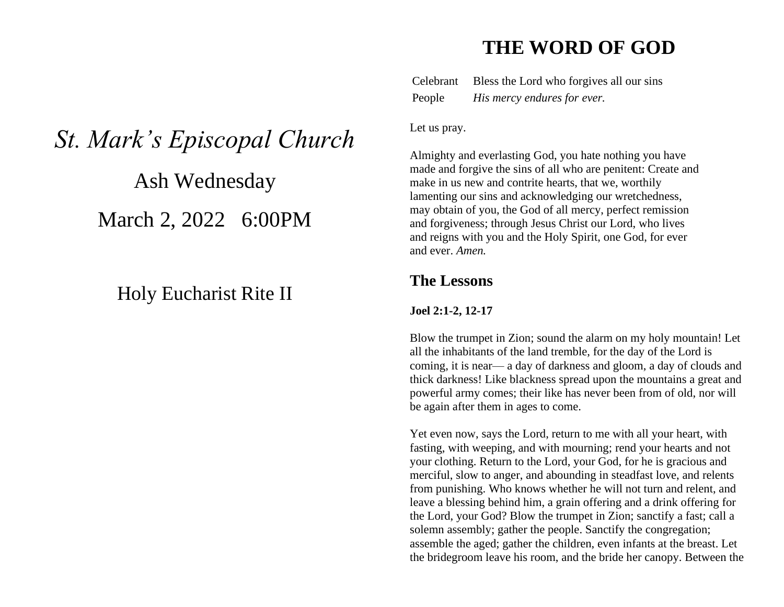# *St. Mark's Episcopal Church* Ash Wednesday March 2, 2022 6:00PM

## Holy Eucharist Rite II

# **THE WORD OF GOD**

Celebrant Bless the Lord who forgives all our sins People *His mercy endures for ever.*

### Let us pray.

Almighty and everlasting God, you hate nothing you have made and forgive the sins of all who are penitent: Create and make in us new and contrite hearts, that we, worthily lamenting our sins and acknowledging our wretchedness, may obtain of you, the God of all mercy, perfect remission and forgiveness; through Jesus Christ our Lord, who lives and reigns with you and the Holy Spirit, one God, for ever and ever. *Amen.*

### **The Lessons**

### **Joel 2:1-2, 12-17**

Blow the trumpet in Zion; sound the alarm on my holy mountain! Let all the inhabitants of the land tremble, for the day of the Lord is coming, it is near— a day of darkness and gloom, a day of clouds and thick darkness! Like blackness spread upon the mountains a great and powerful army comes; their like has never been from of old, nor will be again after them in ages to come.

Yet even now, says the Lord, return to me with all your heart, with fasting, with weeping, and with mourning; rend your hearts and not your clothing. Return to the Lord, your God, for he is gracious and merciful, slow to anger, and abounding in steadfast love, and relents from punishing. Who knows whether he will not turn and relent, and leave a blessing behind him, a grain offering and a drink offering for the Lord, your God? Blow the trumpet in Zion; sanctify a fast; call a solemn assembly; gather the people. Sanctify the congregation; assemble the aged; gather the children, even infants at the breast. Let the bridegroom leave his room, and the bride her canopy. Between the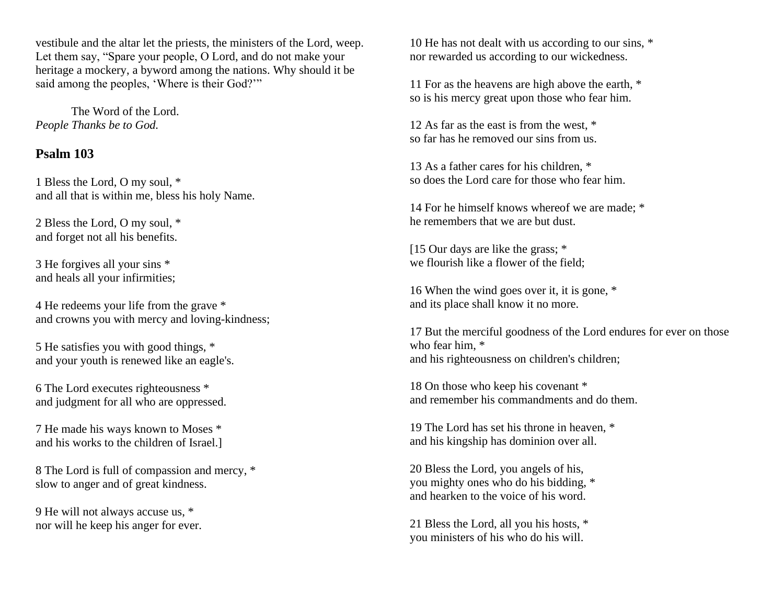vestibule and the altar let the priests, the ministers of the Lord, weep. Let them say, "Spare your people, O Lord, and do not make your heritage a mockery, a byword among the nations. Why should it be said among the peoples, 'Where is their God?'"

 The Word of the Lord. *People Thanks be to God.*

### **Psalm 103**

1 Bless the Lord, O my soul, \* and all that is within me, bless his holy Name.

2 Bless the Lord, O my soul, \* and forget not all his benefits.

3 He forgives all your sins \* and heals all your infirmities;

4 He redeems your life from the grave \* and crowns you with mercy and loving-kindness;

5 He satisfies you with good things, \* and your youth is renewed like an eagle's.

6 The Lord executes righteousness \* and judgment for all who are oppressed.

7 He made his ways known to Moses \* and his works to the children of Israel.]

8 The Lord is full of compassion and mercy, \* slow to anger and of great kindness.

9 He will not always accuse us, \* nor will he keep his anger for ever. 10 He has not dealt with us according to our sins, \* nor rewarded us according to our wickedness.

11 For as the heavens are high above the earth, \* so is his mercy great upon those who fear him.

12 As far as the east is from the west, \* so far has he removed our sins from us.

13 As a father cares for his children, \* so does the Lord care for those who fear him.

14 For he himself knows whereof we are made; \* he remembers that we are but dust.

[15 Our days are like the grass; \* we flourish like a flower of the field;

16 When the wind goes over it, it is gone, \* and its place shall know it no more.

17 But the merciful goodness of the Lord endures for ever on those who fear him, \* and his righteousness on children's children;

18 On those who keep his covenant \* and remember his commandments and do them.

19 The Lord has set his throne in heaven, \* and his kingship has dominion over all.

20 Bless the Lord, you angels of his, you mighty ones who do his bidding, \* and hearken to the voice of his word.

21 Bless the Lord, all you his hosts, \* you ministers of his who do his will.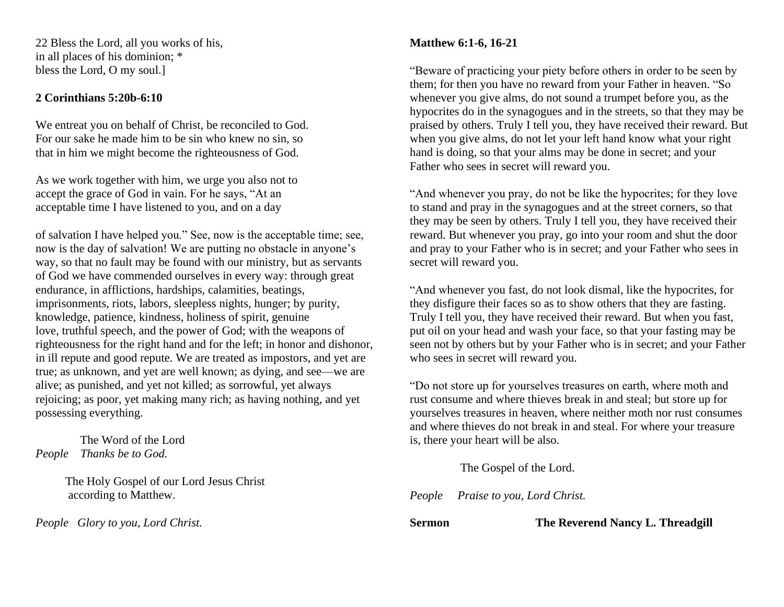22 Bless the Lord, all you works of his, in all places of his dominion; \* bless the Lord, O my soul.]

### **2 Corinthians 5:20b-6:10**

We entreat you on behalf of Christ, be reconciled to God. For our sake he made him to be sin who knew no sin, so that in him we might become the righteousness of God.

As we work together with him, we urge you also not to accept the grace of God in vain. For he says, "At an acceptable time I have listened to you, and on a day

of salvation I have helped you." See, now is the acceptable time; see, now is the day of salvation! We are putting no obstacle in anyone's way, so that no fault may be found with our ministry, but as servants of God we have commended ourselves in every way: through great endurance, in afflictions, hardships, calamities, beatings, imprisonments, riots, labors, sleepless nights, hunger; by purity, knowledge, patience, kindness, holiness of spirit, genuine love, truthful speech, and the power of God; with the weapons of righteousness for the right hand and for the left; in honor and dishonor, in ill repute and good repute. We are treated as impostors, and yet are true; as unknown, and yet are well known; as dying, and see—we are alive; as punished, and yet not killed; as sorrowful, yet always rejoicing; as poor, yet making many rich; as having nothing, and yet possessing everything.

 The Word of the Lord *People Thanks be to God.*

> The Holy Gospel of our Lord Jesus Christ according to Matthew.

*People Glory to you, Lord Christ.*

### **Matthew 6:1-6, 16-21**

"Beware of practicing your piety before others in order to be seen by them; for then you have no reward from your Father in heaven. "So whenever you give alms, do not sound a trumpet before you, as the hypocrites do in the synagogues and in the streets, so that they may be praised by others. Truly I tell you, they have received their reward. But when you give alms, do not let your left hand know what your right hand is doing, so that your alms may be done in secret; and your Father who sees in secret will reward you.

"And whenever you pray, do not be like the hypocrites; for they love to stand and pray in the synagogues and at the street corners, so that they may be seen by others. Truly I tell you, they have received their reward. But whenever you pray, go into your room and shut the door and pray to your Father who is in secret; and your Father who sees in secret will reward you.

"And whenever you fast, do not look dismal, like the hypocrites, for they disfigure their faces so as to show others that they are fasting. Truly I tell you, they have received their reward. But when you fast, put oil on your head and wash your face, so that your fasting may be seen not by others but by your Father who is in secret; and your Father who sees in secret will reward you.

"Do not store up for yourselves treasures on earth, where moth and rust consume and where thieves break in and steal; but store up for yourselves treasures in heaven, where neither moth nor rust consumes and where thieves do not break in and steal. For where your treasure is, there your heart will be also.

The Gospel of the Lord.

*People Praise to you, Lord Christ.*

**Sermon The Reverend Nancy L. Threadgill**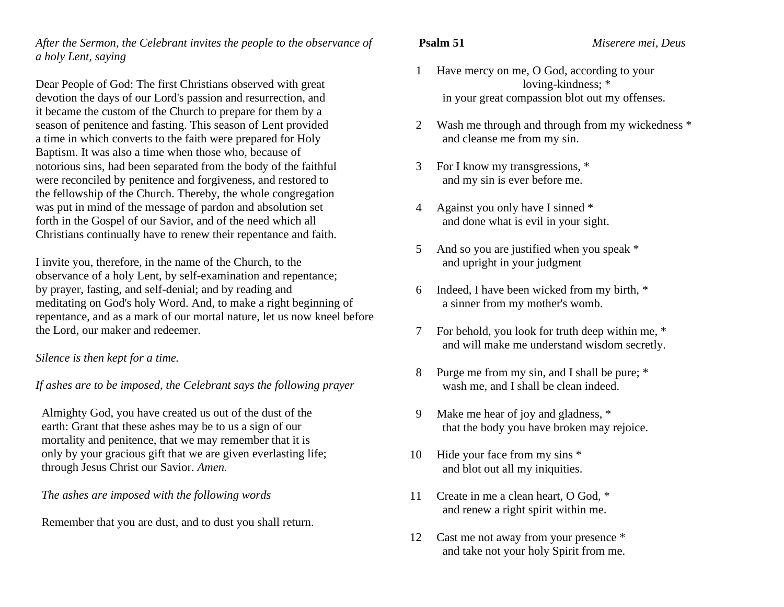*After the Sermon, the Celebrant invites the people to the observance of a holy Lent, saying*

Dear People of God: The first Christians observed with great devotion the days of our Lord's passion and resurrection, and it became the custom of the Church to prepare for them by a season of penitence and fasting. This season of Lent provided a time in which converts to the faith were prepared for Holy Baptism. It was also a time when those who, because of notorious sins, had been separated from the body of the faithful were reconciled by penitence and forgiveness, and restored to the fellowship of the Church. Thereby, the whole congregation was put in mind of the message of pardon and absolution set forth in the Gospel of our Savior, and of the need which all Christians continually have to renew their repentance and faith.

I invite you, therefore, in the name of the Church, to the observance of a holy Lent, by self-examination and repentance; by prayer, fasting, and self-denial; and by reading and meditating on God's holy Word. And, to make a right beginning of repentance, and as a mark of our mortal nature, let us now kneel before the Lord, our maker and redeemer.

### *Silence is then kept for a time.*

*If ashes are to be imposed, the Celebrant says the following prayer*

Almighty God, you have created us out of the dust of the earth: Grant that these ashes may be to us a sign of our mortality and penitence, that we may remember that it is only by your gracious gift that we are given everlasting life; through Jesus Christ our Savior. *Amen.*

### *The ashes are imposed with the following words*

Remember that you are dust, and to dust you shall return.

- 1 Have mercy on me, O God, according to your loving-kindness; \*
	- in your great compassion blot out my offenses.
- 2 Wash me through and through from my wickedness \* and cleanse me from my sin.
- 3 For I know my transgressions, \* and my sin is ever before me.
- 4 Against you only have I sinned \* and done what is evil in your sight.
- 5 And so you are justified when you speak \* and upright in your judgment
- 6 Indeed, I have been wicked from my birth, \* a sinner from my mother's womb.
- 7 For behold, you look for truth deep within me, \* and will make me understand wisdom secretly.
- 8 Purge me from my sin, and I shall be pure; \* wash me, and I shall be clean indeed.
- 9 Make me hear of joy and gladness, \* that the body you have broken may rejoice.
- 10 Hide your face from my sins \* and blot out all my iniquities.
- 11 Create in me a clean heart, O God, \* and renew a right spirit within me.
- 12 Cast me not away from your presence \* and take not your holy Spirit from me.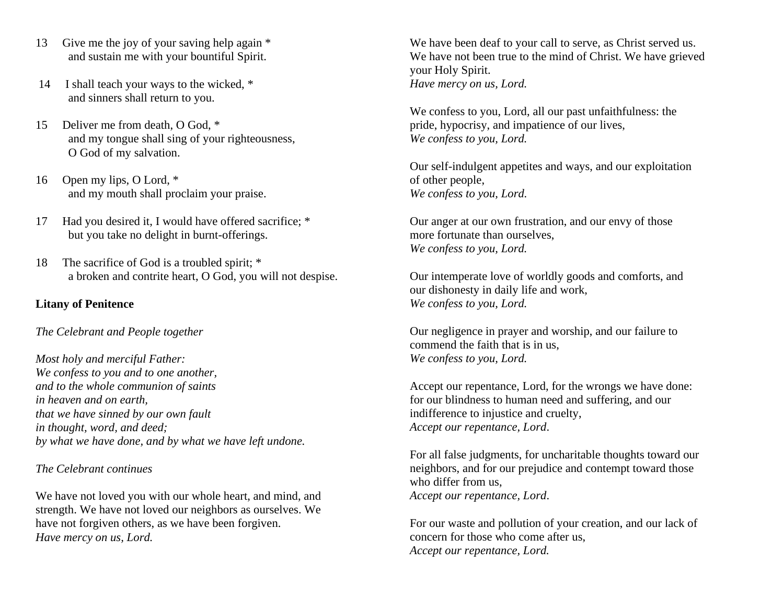- 13 Give me the joy of your saving help again \* and sustain me with your bountiful Spirit.
- 14 I shall teach your ways to the wicked,  $*$ and sinners shall return to you.
- 15 Deliver me from death, O God, \* and my tongue shall sing of your righteousness, O God of my salvation.
- 16 Open my lips, O Lord, \* and my mouth shall proclaim your praise.
- 17 Had you desired it, I would have offered sacrifice; \* but you take no delight in burnt-offerings.
- 18 The sacrifice of God is a troubled spirit; \* a broken and contrite heart, O God, you will not despise.

### **Litany of Penitence**

*The Celebrant and People together*

*Most holy and merciful Father: We confess to you and to one another, and to the whole communion of saints in heaven and on earth, that we have sinned by our own fault in thought, word, and deed; by what we have done, and by what we have left undone.*

### *The Celebrant continues*

We have not loved you with our whole heart, and mind, and strength. We have not loved our neighbors as ourselves. We have not forgiven others, as we have been forgiven. *Have mercy on us, Lord.*

We have been deaf to your call to serve, as Christ served us. We have not been true to the mind of Christ. We have grieved your Holy Spirit. *Have mercy on us, Lord.*

We confess to you, Lord, all our past unfaithfulness: the pride, hypocrisy, and impatience of our lives, *We confess to you, Lord.*

Our self-indulgent appetites and ways, and our exploitation of other people, *We confess to you, Lord.*

Our anger at our own frustration, and our envy of those more fortunate than ourselves, *We confess to you, Lord.*

Our intemperate love of worldly goods and comforts, and our dishonesty in daily life and work, *We confess to you, Lord.*

Our negligence in prayer and worship, and our failure to commend the faith that is in us, *We confess to you, Lord.*

Accept our repentance, Lord, for the wrongs we have done: for our blindness to human need and suffering, and our indifference to injustice and cruelty, *Accept our repentance, Lord*.

For all false judgments, for uncharitable thoughts toward our neighbors, and for our prejudice and contempt toward those who differ from us, *Accept our repentance, Lord*.

For our waste and pollution of your creation, and our lack of concern for those who come after us, *Accept our repentance, Lord.*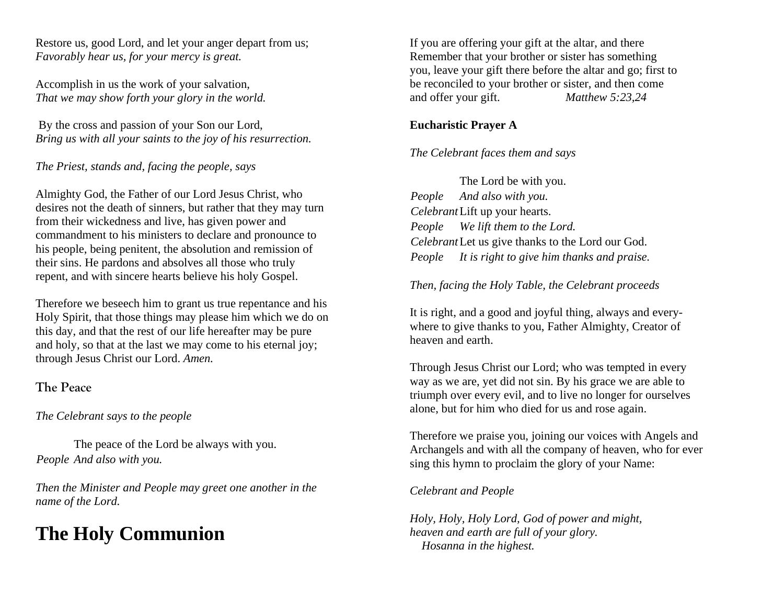Restore us, good Lord, and let your anger depart from us; *Favorably hear us, for your mercy is great.*

Accomplish in us the work of your salvation, *That we may show forth your glory in the world.*

By the cross and passion of your Son our Lord, *Bring us with all your saints to the joy of his resurrection.*

*The Priest, stands and, facing the people, says*

Almighty God, the Father of our Lord Jesus Christ, who desires not the death of sinners, but rather that they may turn from their wickedness and live, has given power and commandment to his ministers to declare and pronounce to his people, being penitent, the absolution and remission of their sins. He pardons and absolves all those who truly repent, and with sincere hearts believe his holy Gospel.

Therefore we beseech him to grant us true repentance and his Holy Spirit, that those things may please him which we do on this day, and that the rest of our life hereafter may be pure and holy, so that at the last we may come to his eternal joy; through Jesus Christ our Lord. *Amen.*

### **The Peace**

*The Celebrant says to the people*

The peace of the Lord be always with you. *People And also with you.*

*Then the Minister and People may greet one another in the name of the Lord.*

# **The Holy Communion**

If you are offering your gift at the altar, and there Remember that your brother or sister has something you, leave your gift there before the altar and go; first to be reconciled to your brother or sister, and then come and offer your gift. *Matthew 5:23,24*

### **Eucharistic Prayer A**

*The Celebrant faces them and says*

The Lord be with you. *People And also with you. Celebrant*Lift up your hearts. *People We lift them to the Lord. Celebrant*Let us give thanks to the Lord our God. *People It is right to give him thanks and praise.*

*Then, facing the Holy Table, the Celebrant proceeds*

It is right, and a good and joyful thing, always and everywhere to give thanks to you, Father Almighty, Creator of heaven and earth.

Through Jesus Christ our Lord; who was tempted in every way as we are, yet did not sin. By his grace we are able to triumph over every evil, and to live no longer for ourselves alone, but for him who died for us and rose again.

Therefore we praise you, joining our voices with Angels and Archangels and with all the company of heaven, who for ever sing this hymn to proclaim the glory of your Name:

*Celebrant and People*

*Holy, Holy, Holy Lord, God of power and might, heaven and earth are full of your glory. Hosanna in the highest.*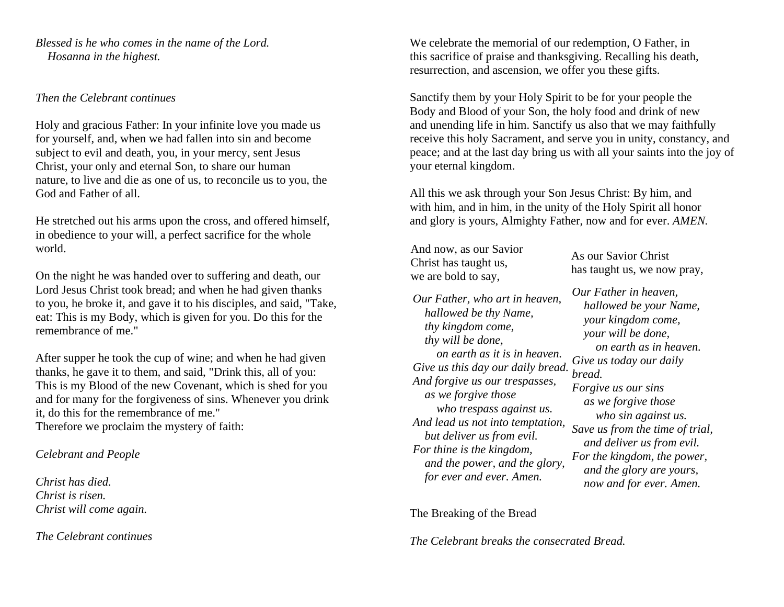*Blessed is he who comes in the name of the Lord. Hosanna in the highest.*

### *Then the Celebrant continues*

Holy and gracious Father: In your infinite love you made us for yourself, and, when we had fallen into sin and become subject to evil and death, you, in your mercy, sent Jesus Christ, your only and eternal Son, to share our human nature, to live and die as one of us, to reconcile us to you, the God and Father of all.

He stretched out his arms upon the cross, and offered himself, in obedience to your will, a perfect sacrifice for the whole world.

On the night he was handed over to suffering and death, our Lord Jesus Christ took bread; and when he had given thanks to you, he broke it, and gave it to his disciples, and said, "Take, eat: This is my Body, which is given for you. Do this for the remembrance of me."

After supper he took the cup of wine; and when he had given thanks, he gave it to them, and said, "Drink this, all of you: This is my Blood of the new Covenant, which is shed for you and for many for the forgiveness of sins. Whenever you drink it, do this for the remembrance of me." Therefore we proclaim the mystery of faith:

### *Celebrant and People*

*Christ has died. Christ is risen. Christ will come again.*

*The Celebrant continues*

We celebrate the memorial of our redemption, O Father, in this sacrifice of praise and thanksgiving. Recalling his death, resurrection, and ascension, we offer you these gifts.

Sanctify them by your Holy Spirit to be for your people the Body and Blood of your Son, the holy food and drink of new and unending life in him. Sanctify us also that we may faithfully receive this holy Sacrament, and serve you in unity, constancy, and peace; and at the last day bring us with all your saints into the joy of your eternal kingdom.

All this we ask through your Son Jesus Christ: By him, and with him, and in him, in the unity of the Holy Spirit all honor and glory is yours, Almighty Father, now and for ever. *AMEN.*

And now, as our Savior Christ has taught us, we are bold to say,

*Our Father, who art in heaven, hallowed be thy Name, thy kingdom come, thy will be done, on earth as it is in heaven. Give us this day our daily bread. And forgive us our trespasses, as we forgive those who trespass against us. And lead us not into temptation, but deliver us from evil. For thine is the kingdom, and the power, and the glory, for ever and ever. Amen.*

As our Savior Christ has taught us, we now pray,

*Our Father in heaven, hallowed be your Name, your kingdom come, your will be done, on earth as in heaven. Give us today our daily bread. Forgive us our sins as we forgive those who sin against us. Save us from the time of trial, and deliver us from evil. For the kingdom, the power, and the glory are yours, now and for ever. Amen.*

### The Breaking of the Bread

*The Celebrant breaks the consecrated Bread.*